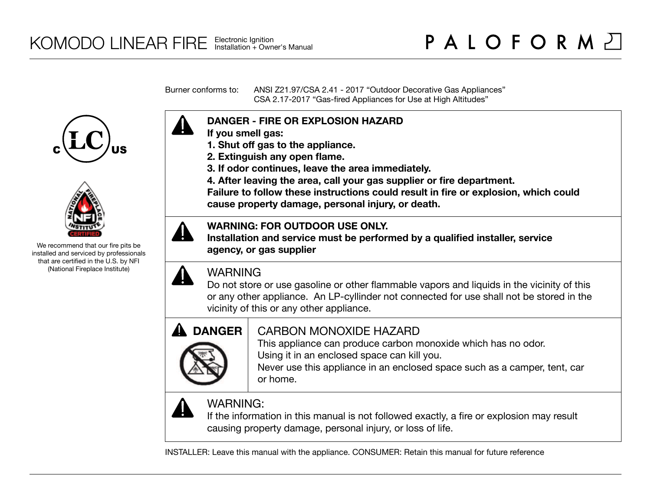Burner conforms to: ANSI Z21.97/CSA 2.41 - 2017 "Outdoor Decorative Gas Appliances" CSA 2.17-2017 "Gas-fired Appliances for Use at High Altitudes"





We recommend that our fire pits be installed and serviced by professionals that are certified in the U.S. by NFI (National Fireplace Institute)



- **If you smell gas:**
- **1. Shut off gas to the appliance.**
- **2. Extinguish any open flame.**
- **3. If odor continues, leave the area immediately.**
- **4. After leaving the area, call your gas supplier or fire department.**

**Failure to follow these instructions could result in fire or explosion, which could cause property damage, personal injury, or death.**

### **WARNING: FOR OUTDOOR USE ONLY.**

**Installation and service must be performed by a qualified installer, service agency, or gas supplier**



# WARNING

Do not store or use gasoline or other flammable vapors and liquids in the vicinity of this or any other appliance. An LP-cyllinder not connected for use shall not be stored in the vicinity of this or any other appliance.



# CARBON MONOXIDE HAZARD

This appliance can produce carbon monoxide which has no odor. Using it in an enclosed space can kill you.

Never use this appliance in an enclosed space such as a camper, tent, car or home.



# WARNING:

If the information in this manual is not followed exactly, a fire or explosion may result causing property damage, personal injury, or loss of life.

INSTALLER: Leave this manual with the appliance. CONSUMER: Retain this manual for future reference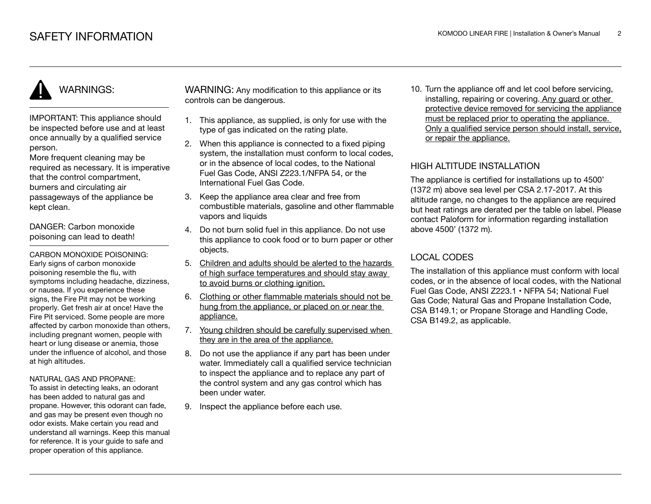IMPORTANT: This appliance should be inspected before use and at least once annually by a qualified service person.

More frequent cleaning may be required as necessary. It is imperative that the control compartment, burners and circulating air passageways of the appliance be kept clean.

DANGER: Carbon monoxide poisoning can lead to death!

CARBON MONOXIDE POISONING: Early signs of carbon monoxide poisoning resemble the flu, with symptoms including headache, dizziness, or nausea. If you experience these signs, the Fire Pit may not be working properly. Get fresh air at once! Have the Fire Pit serviced. Some people are more affected by carbon monoxide than others, including pregnant women, people with heart or lung disease or anemia, those under the influence of alcohol, and those at high altitudes.

### NATURAL GAS AND PROPANE:

To assist in detecting leaks, an odorant has been added to natural gas and propane. However, this odorant can fade, and gas may be present even though no odor exists. Make certain you read and understand all warnings. Keep this manual for reference. It is your guide to safe and proper operation of this appliance.

WARNING: Any modification to this appliance or its controls can be dangerous.

- 1. This appliance, as supplied, is only for use with the type of gas indicated on the rating plate.
- 2. When this appliance is connected to a fixed piping system, the installation must conform to local codes. or in the absence of local codes, to the National Fuel Gas Code, ANSI Z223.1/NFPA 54, or the International Fuel Gas Code.
- 3. Keep the appliance area clear and free from combustible materials, gasoline and other flammable vapors and liquids
- 4. Do not burn solid fuel in this appliance. Do not use this appliance to cook food or to burn paper or other objects.
- 5. Children and adults should be alerted to the hazards of high surface temperatures and should stay away to avoid burns or clothing ignition.
- 6. Clothing or other flammable materials should not be hung from the appliance, or placed on or near the appliance.
- 7. Young children should be carefully supervised when they are in the area of the appliance.
- 8. Do not use the appliance if any part has been under water. Immediately call a qualified service technician to inspect the appliance and to replace any part of the control system and any gas control which has been under water.
- 9. Inspect the appliance before each use.

10. Turn the appliance off and let cool before servicing, installing, repairing or covering. Any guard or other protective device removed for servicing the appliance must be replaced prior to operating the appliance. Only a qualified service person should install, service, or repair the appliance.

### HIGH ALTITUDE INSTALLATION

The appliance is certified for installations up to 4500' (1372 m) above sea level per CSA 2.17-2017. At this altitude range, no changes to the appliance are required but heat ratings are derated per the table on label. Please contact Paloform for information regarding installation above 4500' (1372 m).

### LOCAL CODES

The installation of this appliance must conform with local codes, or in the absence of local codes, with the National Fuel Gas Code, ANSI Z223.1 • NFPA 54; National Fuel Gas Code; Natural Gas and Propane Installation Code, CSA B149.1; or Propane Storage and Handling Code, CSA B149.2, as applicable.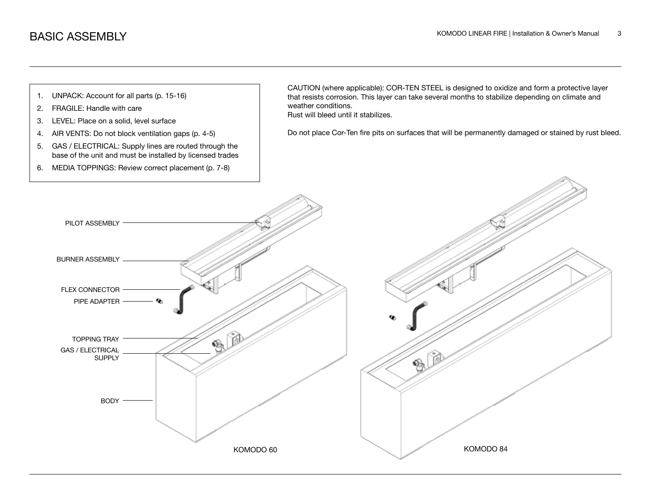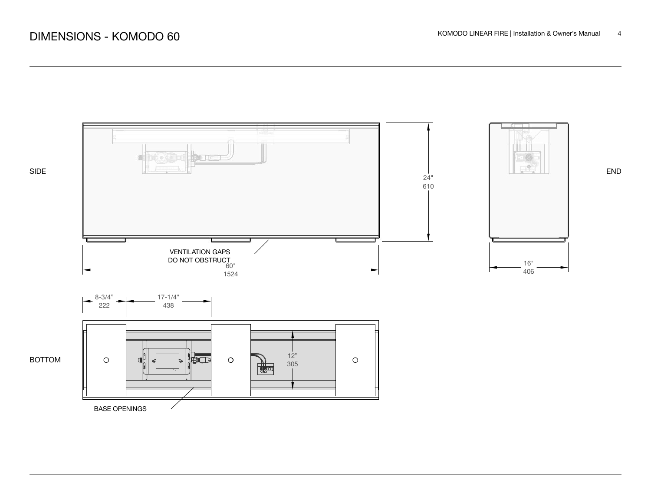

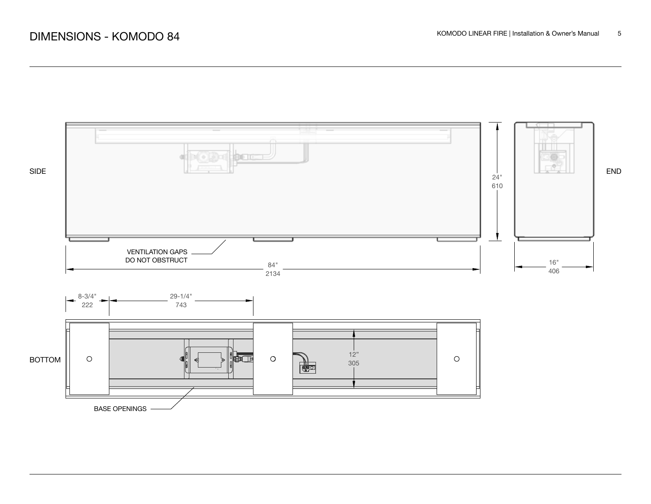

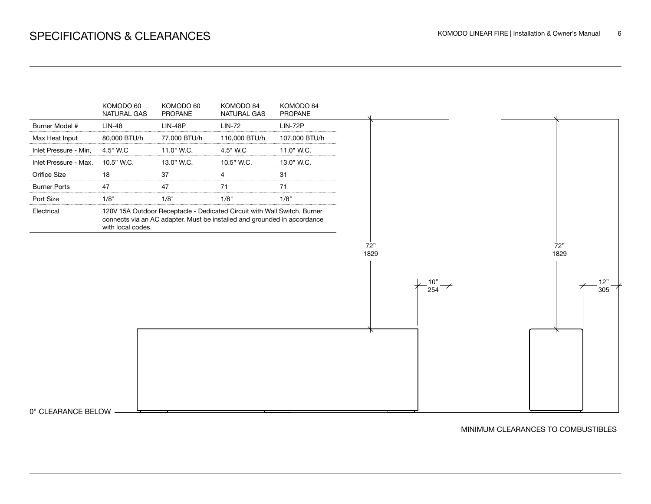

#### MINIMUM CLEARANCES TO COMBUSTIBLES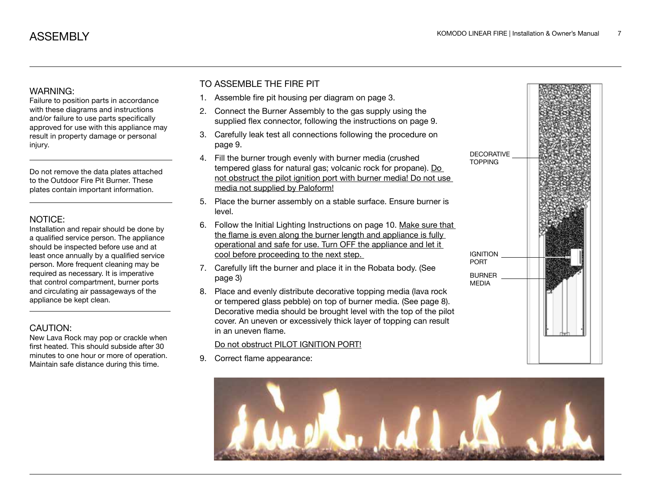Failure to position parts in accordance with these diagrams and instructions and/or failure to use parts specifically approved for use with this appliance may result in property damage or personal injury.

Do not remove the data plates attached to the Outdoor Fire Pit Burner. These plates contain important information.

### NOTICE:

Installation and repair should be done by a qualified service person. The appliance should be inspected before use and at least once annually by a qualified service person. More frequent cleaning may be required as necessary. It is imperative that control compartment, burner ports and circulating air passageways of the appliance be kept clean.

### CAUTION:

New Lava Rock may pop or crackle when first heated. This should subside after 30 minutes to one hour or more of operation. Maintain safe distance during this time.

### TO ASSEMBLE THE FIRE PIT

- 1. Assemble fire pit housing per diagram on page 3.
- 2. Connect the Burner Assembly to the gas supply using the supplied flex connector, following the instructions on page 9.
- 3. Carefully leak test all connections following the procedure on page 9.
- 4. Fill the burner trough evenly with burner media (crushed tempered glass for natural gas; volcanic rock for propane). Do not obstruct the pilot ignition port with burner media! Do not use media not supplied by Paloform!
- 5. Place the burner assembly on a stable surface. Ensure burner is level.
- 6. Follow the Initial Lighting Instructions on page 10. Make sure that the flame is even along the burner length and appliance is fully operational and safe for use. Turn OFF the appliance and let it cool before proceeding to the next step.
- 7. Carefully lift the burner and place it in the Robata body. (See page 3)
- 8. Place and evenly distribute decorative topping media (lava rock or tempered glass pebble) on top of burner media. (See page 8). Decorative media should be brought level with the top of the pilot cover. An uneven or excessively thick layer of topping can result in an uneven flame.

### Do not obstruct PILOT IGNITION PORT!

9. Correct flame appearance:



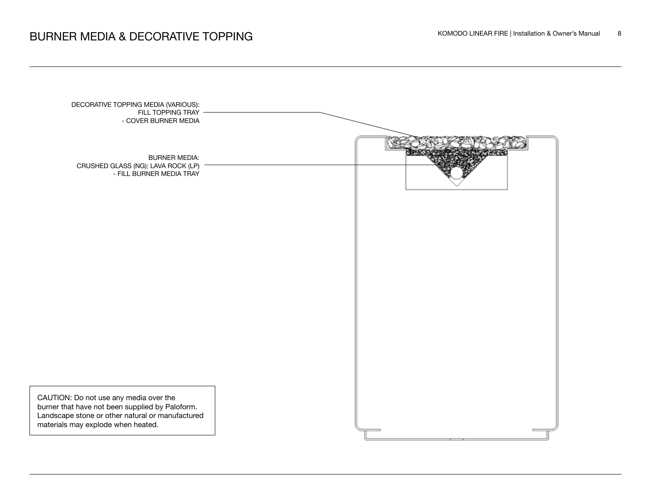# BURNER MEDIA & DECORATIVE TOPPING **EXECUTER TO EXECUTE A CONODO LINEAR FIRE** | Installation & Owner's Manual 8

| DECORATIVE TOPPING MEDIA (VARIOUS):<br>FILL TOPPING TRAY<br>- COVER BURNER MEDIA                                                                                                    |  |
|-------------------------------------------------------------------------------------------------------------------------------------------------------------------------------------|--|
| <b>BURNER MEDIA:</b><br>CRUSHED GLASS (NG); LAVA ROCK (LP)<br>- FILL BURNER MEDIA TRAY                                                                                              |  |
|                                                                                                                                                                                     |  |
|                                                                                                                                                                                     |  |
|                                                                                                                                                                                     |  |
| CAUTION: Do not use any media over the<br>burner that have not been supplied by Paloform.<br>Landscape stone or other natural or manufactured<br>materials may explode when heated. |  |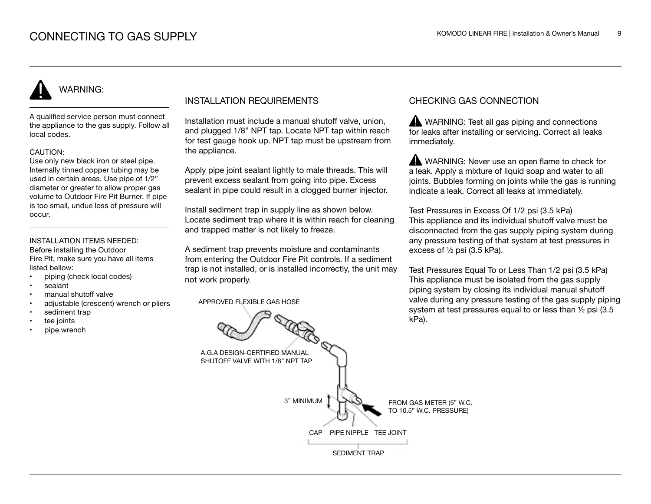A qualified service person must connect the appliance to the gas supply. Follow all local codes.

### CAUTION:

Use only new black iron or steel pipe. Internally tinned copper tubing may be used in certain areas. Use pipe of 1/2" diameter or greater to allow proper gas volume to Outdoor Fire Pit Burner. If pipe is too small, undue loss of pressure will occur.

#### INSTALLATION ITEMS NEEDED: Before installing the Outdoor

Fire Pit, make sure you have all items listed bellow:

- piping (check local codes)
- sealant
- manual shutoff valve
- adjustable (crescent) wrench or pliers
- sediment trap
- tee joints
- pipe wrench

### INSTALLATION REQUIREMENTS

Installation must include a manual shutoff valve, union, and plugged 1/8" NPT tap. Locate NPT tap within reach for test gauge hook up. NPT tap must be upstream from the appliance.

Apply pipe joint sealant lightly to male threads. This will prevent excess sealant from going into pipe. Excess sealant in pipe could result in a clogged burner injector.

Install sediment trap in supply line as shown below. Locate sediment trap where it is within reach for cleaning and trapped matter is not likely to freeze.

A sediment trap prevents moisture and contaminants from entering the Outdoor Fire Pit controls. If a sediment trap is not installed, or is installed incorrectly, the unit may not work properly.

APPROVED FLEXIBLE GAS HOSE

### CHECKING GAS CONNECTION

WARNING: Test all gas piping and connections for leaks after installing or servicing. Correct all leaks immediately.

WARNING: Never use an open flame to check for a leak. Apply a mixture of liquid soap and water to all joints. Bubbles forming on joints while the gas is running indicate a leak. Correct all leaks at immediately.

Test Pressures in Excess Of 1/2 psi (3.5 kPa) This appliance and its individual shutoff valve must be disconnected from the gas supply piping system during any pressure testing of that system at test pressures in excess of ½ psi (3.5 kPa).

Test Pressures Equal To or Less Than 1/2 psi (3.5 kPa) This appliance must be isolated from the gas supply piping system by closing its individual manual shutoff valve during any pressure testing of the gas supply piping system at test pressures equal to or less than ½ psi (3.5 kPa).

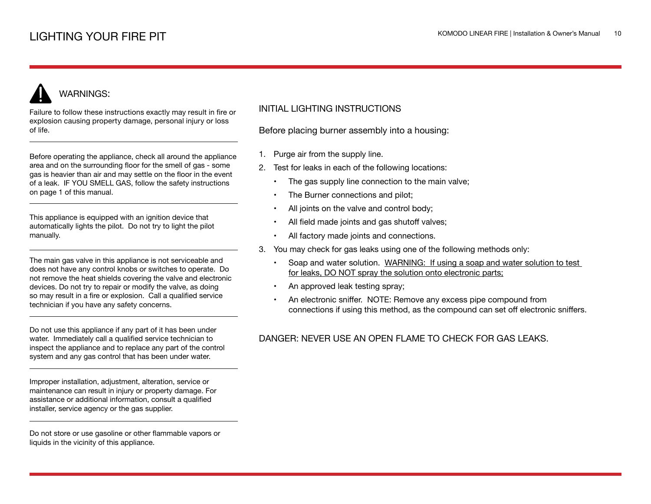Failure to follow these instructions exactly may result in fire or explosion causing property damage, personal injury or loss of life.

Before operating the appliance, check all around the appliance area and on the surrounding floor for the smell of gas - some gas is heavier than air and may settle on the floor in the event of a leak. IF YOU SMELL GAS, follow the safety instructions on page 1 of this manual.

This appliance is equipped with an ignition device that automatically lights the pilot. Do not try to light the pilot manually.

The main gas valve in this appliance is not serviceable and does not have any control knobs or switches to operate. Do not remove the heat shields covering the valve and electronic devices. Do not try to repair or modify the valve, as doing so may result in a fire or explosion. Call a qualified service technician if you have any safety concerns.

Do not use this appliance if any part of it has been under water. Immediately call a qualified service technician to inspect the appliance and to replace any part of the control system and any gas control that has been under water.

Improper installation, adjustment, alteration, service or maintenance can result in injury or property damage. For assistance or additional information, consult a qualified installer, service agency or the gas supplier.

Do not store or use gasoline or other flammable vapors or liquids in the vicinity of this appliance.

### INITIAL LIGHTING INSTRUCTIONS

Before placing burner assembly into a housing:

- 1. Purge air from the supply line.
- 2. Test for leaks in each of the following locations:
	- The gas supply line connection to the main valve;
	- The Burner connections and pilot;
	- All joints on the valve and control body;
	- All field made joints and gas shutoff valves;
	- All factory made joints and connections.
- 3. You may check for gas leaks using one of the following methods only:
	- Soap and water solution. WARNING: If using a soap and water solution to test for leaks, DO NOT spray the solution onto electronic parts;
	- An approved leak testing spray;
	- An electronic sniffer. NOTE: Remove any excess pipe compound from connections if using this method, as the compound can set off electronic sniffers.

### DANGER: NEVER USE AN OPEN FLAME TO CHECK FOR GAS LEAKS.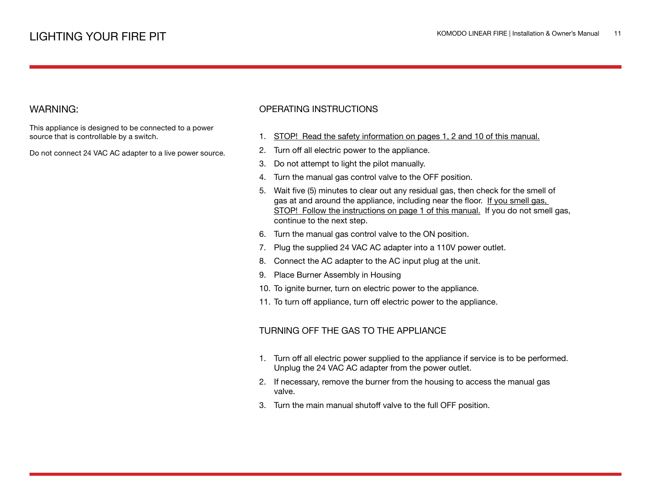This appliance is designed to be connected to a power source that is controllable by a switch.

Do not connect 24 VAC AC adapter to a live power source.

### OPERATING INSTRUCTIONS

- 1. STOP! Read the safety information on pages 1, 2 and 10 of this manual.
- 2. Turn off all electric power to the appliance.
- 3. Do not attempt to light the pilot manually.
- 4. Turn the manual gas control valve to the OFF position.
- 5. Wait five (5) minutes to clear out any residual gas, then check for the smell of gas at and around the appliance, including near the floor. If you smell gas, STOP! Follow the instructions on page 1 of this manual. If you do not smell gas, continue to the next step.
- 6. Turn the manual gas control valve to the ON position.
- 7. Plug the supplied 24 VAC AC adapter into a 110V power outlet.
- 8. Connect the AC adapter to the AC input plug at the unit.
- 9. Place Burner Assembly in Housing
- 10. To ignite burner, turn on electric power to the appliance.
- 11. To turn off appliance, turn off electric power to the appliance.

### TURNING OFF THE GAS TO THE APPLIANCE

- 1. Turn off all electric power supplied to the appliance if service is to be performed. Unplug the 24 VAC AC adapter from the power outlet.
- 2. If necessary, remove the burner from the housing to access the manual gas valve.
- 3. Turn the main manual shutoff valve to the full OFF position.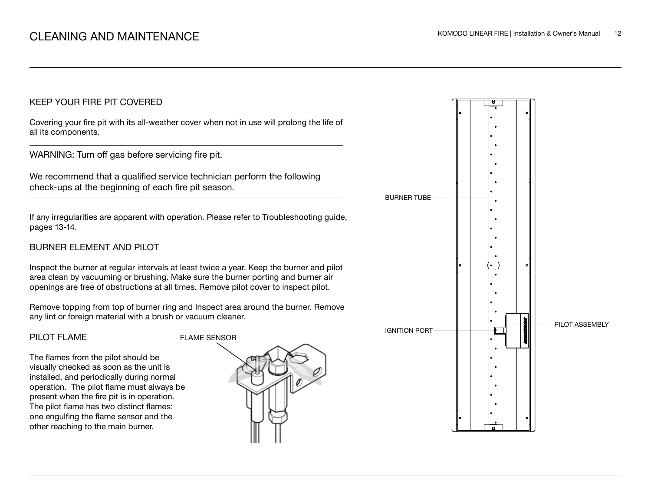### KEEP YOUR FIRE PIT COVERED

Covering your fire pit with its all-weather cover when not in use will prolong the life of all its components.

WARNING: Turn off gas before servicing fire pit.

We recommend that a qualified service technician perform the following check-ups at the beginning of each fire pit season.

If any irregularities are apparent with operation. Please refer to Troubleshooting guide, pages 13-14.

## BURNER ELEMENT AND PILOT

Inspect the burner at regular intervals at least twice a year. Keep the burner and pilot area clean by vacuuming or brushing. Make sure the burner porting and burner air openings are free of obstructions at all times. Remove pilot cover to inspect pilot.

Remove topping from top of burner ring and Inspect area around the burner. Remove any lint or foreign material with a brush or vacuum cleaner.

### PILOT FLAME

The flames from the pilot should be visually checked as soon as the unit is installed, and periodically during normal operation. The pilot flame must always be present when the fire pit is in operation. The pilot flame has two distinct flames: one engulfing the flame sensor and the other reaching to the main burner.



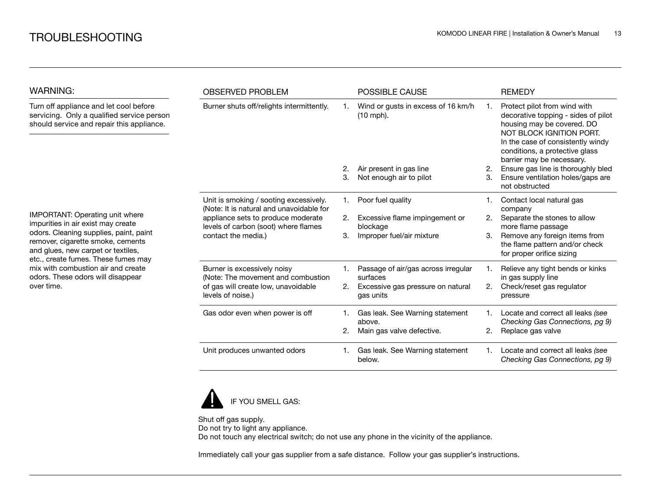| <b>WARNING:</b>                                                                                                                                          | <b>OBSERVED PROBLEM</b>                                                                                                                                                                 |    | <b>POSSIBLE CAUSE</b>                             |    | <b>REMEDY</b>                                                                                                                                                                                                                     |
|----------------------------------------------------------------------------------------------------------------------------------------------------------|-----------------------------------------------------------------------------------------------------------------------------------------------------------------------------------------|----|---------------------------------------------------|----|-----------------------------------------------------------------------------------------------------------------------------------------------------------------------------------------------------------------------------------|
| Turn off appliance and let cool before<br>servicing. Only a qualified service person<br>should service and repair this appliance.                        | Burner shuts off/relights intermittently.                                                                                                                                               |    | Wind or gusts in excess of 16 km/h<br>$(10$ mph). | 1. | Protect pilot from wind with<br>decorative topping - sides of pilot<br>housing may be covered. DO<br>NOT BLOCK IGNITION PORT.<br>In the case of consistently windy<br>conditions, a protective glass<br>barrier may be necessary. |
|                                                                                                                                                          |                                                                                                                                                                                         | 2. | Air present in gas line                           | 2. | Ensure gas line is thoroughly bled                                                                                                                                                                                                |
|                                                                                                                                                          |                                                                                                                                                                                         | 3. | Not enough air to pilot                           | 3. | Ensure ventilation holes/gaps are<br>not obstructed                                                                                                                                                                               |
|                                                                                                                                                          | Unit is smoking / sooting excessively.<br>(Note: It is natural and unavoidable for<br>appliance sets to produce moderate<br>levels of carbon (soot) where flames<br>contact the media.) | 1. | Poor fuel quality                                 |    | Contact local natural gas<br>company                                                                                                                                                                                              |
| <b>IMPORTANT: Operating unit where</b><br>impurities in air exist may create                                                                             |                                                                                                                                                                                         | 2. | Excessive flame impingement or<br>blockage        | 2. | Separate the stones to allow<br>more flame passage                                                                                                                                                                                |
| odors. Cleaning supplies, paint, paint<br>remover, cigarette smoke, cements<br>and glues, new carpet or textiles,<br>etc., create fumes. These fumes may |                                                                                                                                                                                         | 3. | Improper fuel/air mixture                         | 3. | Remove any foreign items from<br>the flame pattern and/or check<br>for proper orifice sizing                                                                                                                                      |
| mix with combustion air and create<br>odors. These odors will disappear                                                                                  | Burner is excessively noisy<br>(Note: The movement and combustion                                                                                                                       |    | Passage of air/gas across irregular<br>surfaces   |    | Relieve any tight bends or kinks<br>in gas supply line                                                                                                                                                                            |
| over time.                                                                                                                                               | of gas will create low, unavoidable<br>levels of noise.)                                                                                                                                | 2. | Excessive gas pressure on natural<br>gas units    | 2. | Check/reset gas regulator<br>pressure                                                                                                                                                                                             |
|                                                                                                                                                          | Gas odor even when power is off                                                                                                                                                         | 1. | Gas leak. See Warning statement<br>above.         |    | Locate and correct all leaks (see<br>Checking Gas Connections, pg 9)                                                                                                                                                              |
|                                                                                                                                                          |                                                                                                                                                                                         | 2. | Main gas valve defective.                         | 2. | Replace gas valve                                                                                                                                                                                                                 |
|                                                                                                                                                          | Unit produces unwanted odors                                                                                                                                                            | 1. | Gas leak. See Warning statement<br>below.         | 1. | Locate and correct all leaks (see<br>Checking Gas Connections, pg 9)                                                                                                                                                              |



Shut off gas supply. Do not try to light any appliance. Do not touch any electrical switch; do not use any phone in the vicinity of the appliance.

Immediately call your gas supplier from a safe distance. Follow your gas supplier's instructions.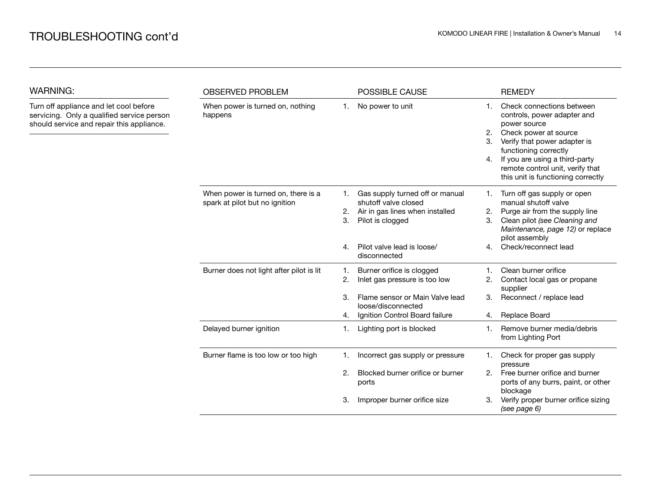| <b>WARNING:</b>                                                                                                                   | <b>OBSERVED PROBLEM</b>                                               |                      | POSSIBLE CAUSE                                                                                                                                               |                      | <b>REMEDY</b>                                                                                                                                                                                                                                                          |  |
|-----------------------------------------------------------------------------------------------------------------------------------|-----------------------------------------------------------------------|----------------------|--------------------------------------------------------------------------------------------------------------------------------------------------------------|----------------------|------------------------------------------------------------------------------------------------------------------------------------------------------------------------------------------------------------------------------------------------------------------------|--|
| Turn off appliance and let cool before<br>servicing. Only a qualified service person<br>should service and repair this appliance. | When power is turned on, nothing<br>happens                           | 1.                   | No power to unit                                                                                                                                             | 1.<br>2.<br>3.<br>4. | Check connections between<br>controls, power adapter and<br>power source<br>Check power at source<br>Verify that power adapter is<br>functioning correctly<br>If you are using a third-party<br>remote control unit, verify that<br>this unit is functioning correctly |  |
|                                                                                                                                   | When power is turned on, there is a<br>spark at pilot but no ignition | 1.<br>2.<br>3.<br>4. | Gas supply turned off or manual<br>shutoff valve closed<br>Air in gas lines when installed<br>Pilot is clogged<br>Pilot valve lead is loose/<br>disconnected | 1.<br>2.<br>3.<br>4. | Turn off gas supply or open<br>manual shutoff valve<br>Purge air from the supply line<br>Clean pilot (see Cleaning and<br>Maintenance, page 12) or replace<br>pilot assembly<br>Check/reconnect lead                                                                   |  |
|                                                                                                                                   | Burner does not light after pilot is lit                              | 1.<br>2.<br>3.<br>4. | Burner orifice is clogged<br>Inlet gas pressure is too low<br>Flame sensor or Main Valve lead<br>loose/disconnected<br>Ignition Control Board failure        | 2.<br>3.<br>4.       | Clean burner orifice<br>Contact local gas or propane<br>supplier<br>Reconnect / replace lead<br>Replace Board                                                                                                                                                          |  |
|                                                                                                                                   | Delayed burner ignition                                               | 1.                   | Lighting port is blocked                                                                                                                                     | 1.                   | Remove burner media/debris<br>from Lighting Port                                                                                                                                                                                                                       |  |
|                                                                                                                                   | Burner flame is too low or too high                                   | 2.<br>З.             | Incorrect gas supply or pressure<br>Blocked burner orifice or burner<br>ports<br>Improper burner orifice size                                                | 1.<br>2.<br>3.       | Check for proper gas supply<br>pressure<br>Free burner orifice and burner<br>ports of any burrs, paint, or other<br>blockage<br>Verify proper burner orifice sizing                                                                                                    |  |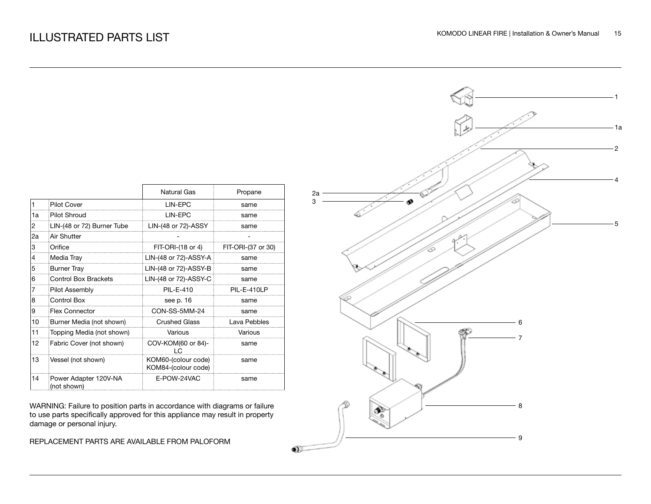|    |                                      | Natural Gas                                | Propane            |
|----|--------------------------------------|--------------------------------------------|--------------------|
| 1  | <b>Pilot Cover</b>                   | <b>I IN-FPC</b>                            | same               |
| 1a | Pilot Shroud                         | <b>I IN-FPC</b>                            | same               |
| 2  | LIN-(48 or 72) Burner Tube           | LIN-(48 or 72)-ASSY                        | same               |
| 2a | Air Shutter                          |                                            |                    |
| 3  | Orifice                              | $FIT-ORI-(18 or 4)$                        | FIT-ORI-(37 or 30) |
| 4  | Media Tray                           | LIN-(48 or 72)-ASSY-A                      | same               |
| 5  | <b>Burner Tray</b>                   | LIN-(48 or 72)-ASSY-B                      | same               |
| 6  | <b>Control Box Brackets</b>          | LIN-(48 or 72)-ASSY-C                      | same               |
| 7  | Pilot Assembly                       | PII-F-410                                  | PIL-E-410LP        |
| 8  | Control Box                          | see p. 16                                  | same               |
| 9  | <b>Flex Connector</b>                | CON-SS-5MM-24                              | same               |
| 10 | Burner Media (not shown)             | <b>Crushed Glass</b>                       | Lava Pebbles       |
| 11 | Topping Media (not shown)            | Various                                    | Various            |
| 12 | Fabric Cover (not shown)             | COV-KOM(60 or 84)-                         | same               |
| 13 | Vessel (not shown)                   | KOM60-(colour code)<br>KOM84-(colour code) | same               |
| 14 | Power Adapter 120V-NA<br>(not shown) | E-POW-24VAC                                | same               |

WARNING: Failure to position parts in accordance with diagrams or failure to use parts specifically approved for this appliance may result in property damage or personal injury.

REPLACEMENT PARTS ARE AVAILABLE FROM PALOFORM

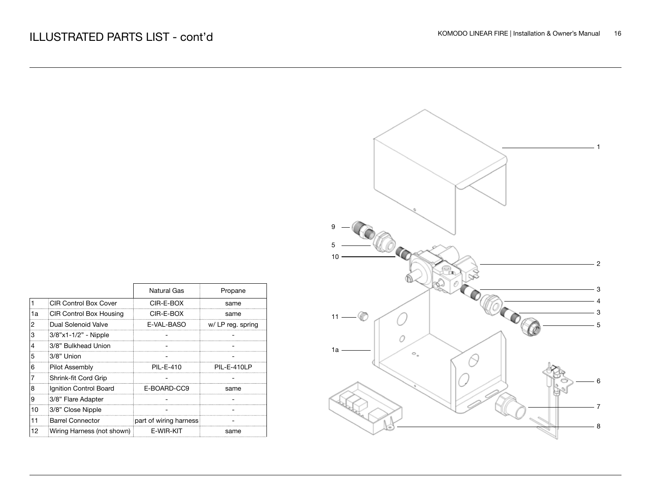|    |                            | Natural Gas            | Propane          |
|----|----------------------------|------------------------|------------------|
|    | CIR Control Box Cover      | CIR-E-BOX              | same             |
| 1a | CIR Control Box Housing    | CIR-E-BOX              | same             |
| 2  | Dual Solenoid Valve        | E-VAL-BASO             | w/LP reg. spring |
| 3  | 3/8"x1-1/2" - Nipple       |                        |                  |
| 4  | 3/8" Bulkhead Union        |                        |                  |
| 5  | 3/8" Union                 |                        |                  |
| 6  | <b>Pilot Assembly</b>      | PIL-E-410              | PIL-E-410LP      |
|    | Shrink-fit Cord Grip       |                        |                  |
| 8  | Ignition Control Board     | E-BOARD-CC9            | same             |
| 19 | 3/8" Flare Adapter         |                        |                  |
| 10 | 3/8" Close Nipple          |                        |                  |
| 11 | <b>Barrel Connector</b>    | part of wiring harness |                  |
| 12 | Wiring Harness (not shown) | E-WIR-KIT              | same             |

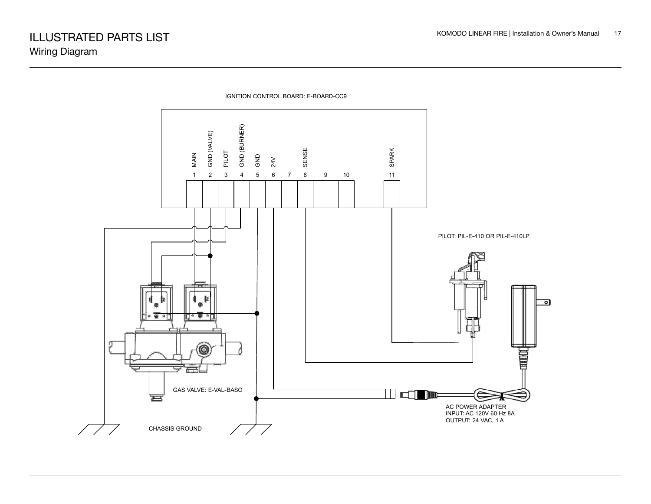

IGNITION CONTROL BOARD: E-BOARD-CC9